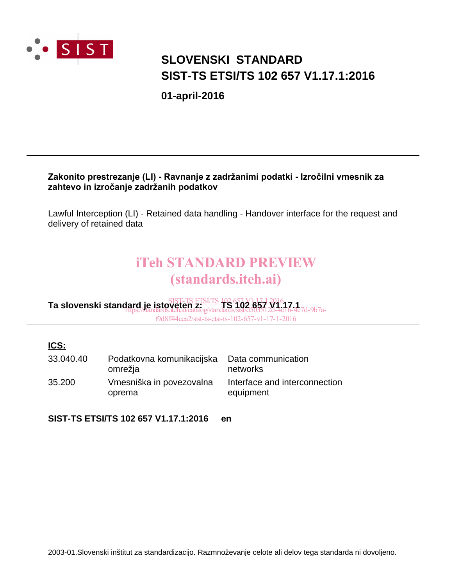

### **SIST-TS ETSI/TS 102 657 V1.17.1:2016 SLOVENSKI STANDARD**

**01-april-2016**

#### Zakonito prestrezanje (LI) - Ravnanje z zadržanimi podatki - Izročilni vmesnik za zahtevo in izročanje zadržanih podatkov

Lawful Interception (LI) - Retained data handling - Handover interface for the request and delivery of retained data

# iTeh STANDARD PREVIEW (standards.iteh.ai)

**Ta slovenski standard je istoveten z: TSETS 102 657 V1.171 2016</u><br>Ta slovenski standard je istoveten z:** *olstnal S. 102* **657 V1. 17.1:** https://standards.iteh.ai/catalog/standards/sist/d503512d-4c16-4e7d-9b7a-

f9d8ff44cea2/sist-ts-etsi-ts-102-657-v1-17-1-2016

#### **ICS:**

| 33.040.40 | Podatkovna komunikacijska Data communication<br>omrežja | networks                                   |
|-----------|---------------------------------------------------------|--------------------------------------------|
| 35.200    | Vmesniška in povezovalna<br>oprema                      | Interface and interconnection<br>equipment |

**SIST-TS ETSI/TS 102 657 V1.17.1:2016 en**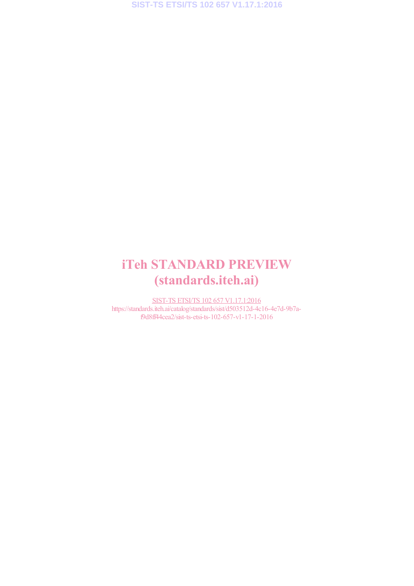# iTeh STANDARD PREVIEW (standards.iteh.ai)

SIST-TS ETSI/TS 102 657 V1.17.1:2016 https://standards.iteh.ai/catalog/standards/sist/d503512d-4c16-4e7d-9b7af9d8ff44cea2/sist-ts-etsi-ts-102-657-v1-17-1-2016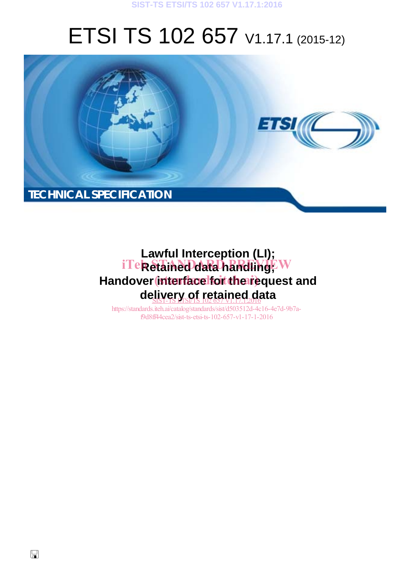#### **SIST-TS ETSI/TS 102 657 V1.17.1:2016**

# ETSI TS 102 657 V1.17.1 (2015-12)



# **Lawful Interception (LI);** iTe**k Stained data handling**; W Handover interface for the request and de<u>livery of retained d</u>ata

https://standards.iteh.ai/catalog/standards/sist/d503512d-4c16-4e7d-9b7af9d8ff44cea2/sist-ts-etsi-ts-102-657-v1-17-1-2016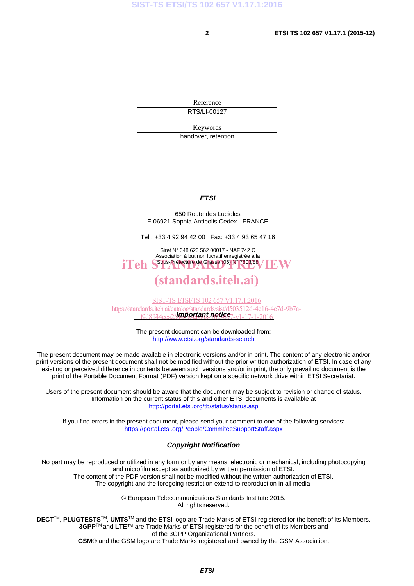Reference RTS/LI-00127

Keywords

handover, retention

#### *ETSI*

650 Route des Lucioles F-06921 Sophia Antipolis Cedex - FRANCE

Tel.: +33 4 92 94 42 00 Fax: +33 4 93 65 47 16

Siret N° 348 623 562 00017 - NAF 742 C Association à but non lucratif enregistrée à la iTeh S<sup>Sous-Préfecture</sup> de Grasse (06) N° 7803/88 / IEW

### (standards.iteh.ai)

*Important notice*  f9d8ff44cea2/sist-ts-etsi-ts-102-657-v1-17-1-2016SIST-TS ETSI/TS 102 657 V1.17.1:2016 https://standards.iteh.ai/catalog/standards/sist/d503512d-4c16-4e7d-9b7a-

> The present document can be downloaded from: http://www.etsi.org/standards-search

The present document may be made available in electronic versions and/or in print. The content of any electronic and/or print versions of the present document shall not be modified without the prior written authorization of ETSI. In case of any existing or perceived difference in contents between such versions and/or in print, the only prevailing document is the print of the Portable Document Format (PDF) version kept on a specific network drive within ETSI Secretariat.

Users of the present document should be aware that the document may be subject to revision or change of status. Information on the current status of this and other ETSI documents is available at http://portal.etsi.org/tb/status/status.asp

If you find errors in the present document, please send your comment to one of the following services: https://portal.etsi.org/People/CommiteeSupportStaff.aspx

#### *Copyright Notification*

No part may be reproduced or utilized in any form or by any means, electronic or mechanical, including photocopying and microfilm except as authorized by written permission of ETSI. The content of the PDF version shall not be modified without the written authorization of ETSI.

The copyright and the foregoing restriction extend to reproduction in all media.

© European Telecommunications Standards Institute 2015. All rights reserved.

**DECT**TM, **PLUGTESTS**TM, **UMTS**TM and the ETSI logo are Trade Marks of ETSI registered for the benefit of its Members. **3GPP**TM and **LTE**™ are Trade Marks of ETSI registered for the benefit of its Members and of the 3GPP Organizational Partners.

**GSM**® and the GSM logo are Trade Marks registered and owned by the GSM Association.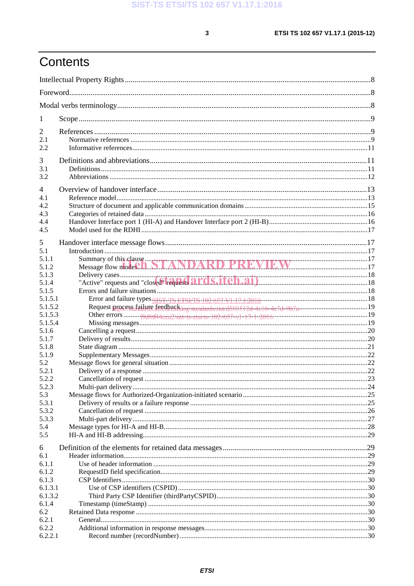$\mathbf{3}$ 

# Contents

| 1              |  |  |  |
|----------------|--|--|--|
| $\overline{2}$ |  |  |  |
| 2.1            |  |  |  |
| 2.2            |  |  |  |
|                |  |  |  |
| 3              |  |  |  |
| 3.1            |  |  |  |
| 3.2            |  |  |  |
| $\overline{4}$ |  |  |  |
| 4.1            |  |  |  |
| 4.2            |  |  |  |
| 4.3            |  |  |  |
| 4.4            |  |  |  |
| 4.5            |  |  |  |
| 5              |  |  |  |
| 5.1            |  |  |  |
| 5.1.1          |  |  |  |
| 5.1.2          |  |  |  |
| 5.1.3          |  |  |  |
| 5.1.4          |  |  |  |
| 5.1.5          |  |  |  |
| 5.1.5.1        |  |  |  |
| 5.1.5.2        |  |  |  |
| 5.1.5.3        |  |  |  |
| 5.1.5.4        |  |  |  |
| 5.1.6          |  |  |  |
| 5.1.7          |  |  |  |
| 5.1.8          |  |  |  |
| 5.1.9          |  |  |  |
| 5.2            |  |  |  |
| 5.2.1          |  |  |  |
| 5.2.2          |  |  |  |
| 5.2.3<br>5.3   |  |  |  |
| 5.3.1          |  |  |  |
| 5.3.2          |  |  |  |
| 5.3.3          |  |  |  |
| 5.4            |  |  |  |
| 5.5            |  |  |  |
|                |  |  |  |
| 6              |  |  |  |
| 6.1            |  |  |  |
| 6.1.1          |  |  |  |
| 6.1.2<br>6.1.3 |  |  |  |
| 6.1.3.1        |  |  |  |
| 6.1.3.2        |  |  |  |
| 6.1.4          |  |  |  |
| 6.2            |  |  |  |
| 6.2.1          |  |  |  |
| 6.2.2          |  |  |  |
| 6.2.2.1        |  |  |  |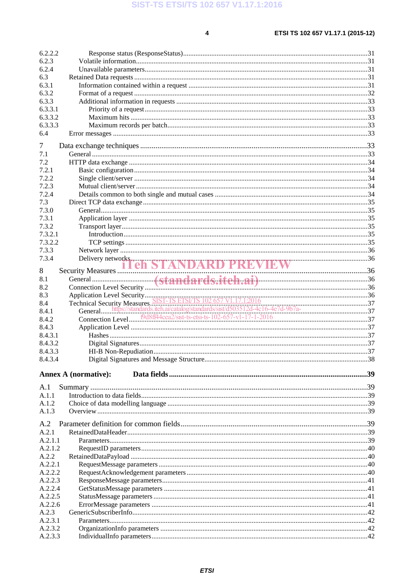$\overline{\mathbf{4}}$ 

| 6.2.2.2            |                                                                                                          |  |
|--------------------|----------------------------------------------------------------------------------------------------------|--|
| 6.2.3              |                                                                                                          |  |
| 6.2.4              |                                                                                                          |  |
| 6.3                |                                                                                                          |  |
| 6.3.1              |                                                                                                          |  |
| 6.3.2              |                                                                                                          |  |
| 6.3.3              |                                                                                                          |  |
| 6.3.3.1            |                                                                                                          |  |
| 6.3.3.2            |                                                                                                          |  |
| 6.3.3.3            |                                                                                                          |  |
| 6.4                |                                                                                                          |  |
|                    |                                                                                                          |  |
| 7                  |                                                                                                          |  |
| 7.1                |                                                                                                          |  |
| 7.2                |                                                                                                          |  |
| 7.2.1              |                                                                                                          |  |
| 7.2.2              |                                                                                                          |  |
| 7.2.3              |                                                                                                          |  |
| 7.2.4              |                                                                                                          |  |
| 7.3                |                                                                                                          |  |
| 7.3.0              |                                                                                                          |  |
| 7.3.1              |                                                                                                          |  |
|                    |                                                                                                          |  |
| 7.3.2              |                                                                                                          |  |
| 7.3.2.1            |                                                                                                          |  |
| 7.3.2.2            |                                                                                                          |  |
| 7.3.3              |                                                                                                          |  |
| 7.3.4              |                                                                                                          |  |
| 8                  | Delivery networks<br>Security Measures<br>General (standards.itch.ai)<br>Connection Level Security<br>36 |  |
|                    |                                                                                                          |  |
| 8.1                |                                                                                                          |  |
| 8.2                |                                                                                                          |  |
| 8.3                |                                                                                                          |  |
| 8.4                |                                                                                                          |  |
| 8.4.1              |                                                                                                          |  |
| 8.4.2              |                                                                                                          |  |
| 8.4.3              |                                                                                                          |  |
| 8.4.3.1            |                                                                                                          |  |
| 8.4.3.2            |                                                                                                          |  |
| 8.4.3.3            |                                                                                                          |  |
| 8.4.3.4            |                                                                                                          |  |
|                    |                                                                                                          |  |
|                    | <b>Annex A (normative):</b>                                                                              |  |
|                    |                                                                                                          |  |
| A.1                |                                                                                                          |  |
| A.1.1              |                                                                                                          |  |
| A.1.2              |                                                                                                          |  |
| A.1.3              |                                                                                                          |  |
| A.2                |                                                                                                          |  |
|                    |                                                                                                          |  |
| A.2.1              |                                                                                                          |  |
| A.2.1.1            |                                                                                                          |  |
| A.2.1.2            |                                                                                                          |  |
| A.2.2              |                                                                                                          |  |
| A.2.2.1            |                                                                                                          |  |
| A.2.2.2            |                                                                                                          |  |
| A.2.2.3            |                                                                                                          |  |
| A.2.2.4            |                                                                                                          |  |
| A.2.2.5            |                                                                                                          |  |
| A.2.2.6            |                                                                                                          |  |
| A.2.3              |                                                                                                          |  |
| A.2.3.1            |                                                                                                          |  |
|                    |                                                                                                          |  |
|                    |                                                                                                          |  |
| A.2.3.2<br>A.2.3.3 |                                                                                                          |  |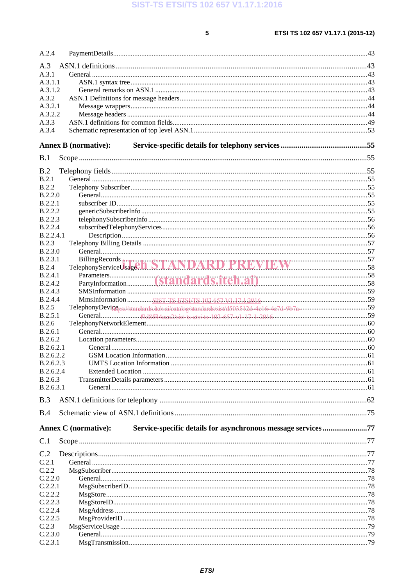$5\phantom{a}$ 

| A.2.4                          |                                                                                                                          |  |
|--------------------------------|--------------------------------------------------------------------------------------------------------------------------|--|
| A.3                            |                                                                                                                          |  |
| A.3.1                          |                                                                                                                          |  |
| A.3.1.1                        |                                                                                                                          |  |
| A.3.1.2                        |                                                                                                                          |  |
| A.3.2                          |                                                                                                                          |  |
| A.3.2.1                        |                                                                                                                          |  |
| A.3.2.2                        |                                                                                                                          |  |
| A.3.3                          |                                                                                                                          |  |
| A.3.4                          |                                                                                                                          |  |
|                                | <b>Annex B</b> (normative):                                                                                              |  |
|                                |                                                                                                                          |  |
| B.1                            |                                                                                                                          |  |
| B.2                            |                                                                                                                          |  |
| B.2.1                          |                                                                                                                          |  |
| B.2.2                          |                                                                                                                          |  |
| B.2.2.0                        |                                                                                                                          |  |
| <b>B.2.2.1</b>                 |                                                                                                                          |  |
| <b>B.2.2.2</b>                 |                                                                                                                          |  |
| <b>B.2.2.3</b>                 |                                                                                                                          |  |
| <b>B.2.2.4</b>                 |                                                                                                                          |  |
| B.2.2.4.1                      |                                                                                                                          |  |
| B.2.3                          |                                                                                                                          |  |
| <b>B.2.3.0</b>                 |                                                                                                                          |  |
| <b>B.2.3.1</b>                 | BillingRecords<br>TelephonyServiceUsageILSTANDARD PREVIEW                                                                |  |
| <b>B.2.4</b><br><b>B.2.4.1</b> |                                                                                                                          |  |
| <b>B.2.4.2</b>                 |                                                                                                                          |  |
| <b>B.2.4.3</b>                 |                                                                                                                          |  |
| <b>B.2.4.4</b>                 |                                                                                                                          |  |
| B.2.5                          | TelephonyDevigeps://standards.itch.ai/eatalog/standards/sist/d503512d-4e16-4e7d-9b7a----------------------------------59 |  |
| <b>B.2.5.1</b>                 |                                                                                                                          |  |
| B.2.6                          |                                                                                                                          |  |
| B.2.6.1                        |                                                                                                                          |  |
| B.2.6.2                        |                                                                                                                          |  |
| B.2.6.2.1                      |                                                                                                                          |  |
| B.2.6.2.2                      |                                                                                                                          |  |
| B.2.6.2.3                      |                                                                                                                          |  |
| B.2.6.2.4                      |                                                                                                                          |  |
| B.2.6.3                        |                                                                                                                          |  |
| B.2.6.3.1                      |                                                                                                                          |  |
| B.3                            |                                                                                                                          |  |
| B.4                            |                                                                                                                          |  |
|                                |                                                                                                                          |  |
|                                | Service-specific details for asynchronous message services77<br><b>Annex C</b> (normative):                              |  |
| C.1                            |                                                                                                                          |  |
| C.2                            |                                                                                                                          |  |
| C.2.1                          |                                                                                                                          |  |
| C.2.2                          |                                                                                                                          |  |
| C.2.2.0                        |                                                                                                                          |  |
| C.2.2.1                        |                                                                                                                          |  |
| C.2.2.2                        |                                                                                                                          |  |
| C.2.2.3                        |                                                                                                                          |  |
| C.2.2.4                        |                                                                                                                          |  |
| C.2.2.5                        |                                                                                                                          |  |
| C.2.3                          |                                                                                                                          |  |
| C.2.3.0                        |                                                                                                                          |  |
| C.2.3.1                        |                                                                                                                          |  |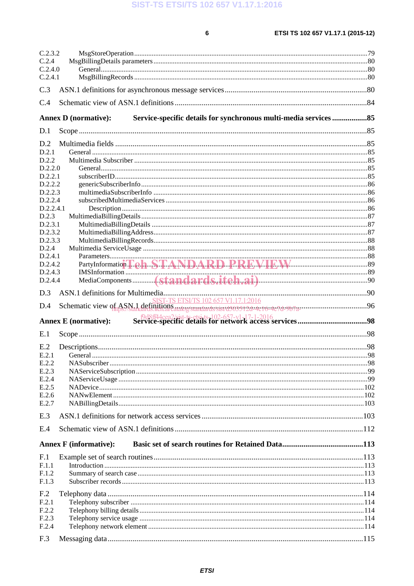$\bf 6$ 

| C.2.3.2<br>C.2.4<br>C.2.4.0 |                                                                                                 |  |
|-----------------------------|-------------------------------------------------------------------------------------------------|--|
| C.2.4.1                     |                                                                                                 |  |
| C.3                         |                                                                                                 |  |
| C.4                         |                                                                                                 |  |
|                             | Service-specific details for synchronous multi-media services 85<br><b>Annex D</b> (normative): |  |
| D.1                         |                                                                                                 |  |
| D.2                         |                                                                                                 |  |
| D.2.1                       |                                                                                                 |  |
| D.2.2<br>D.2.2.0            |                                                                                                 |  |
| D.2.2.1                     |                                                                                                 |  |
| D.2.2.2                     |                                                                                                 |  |
| D.2.2.3                     |                                                                                                 |  |
| D.2.2.4                     |                                                                                                 |  |
| D.2.2.4.1                   |                                                                                                 |  |
| D.2.3                       |                                                                                                 |  |
| D.2.3.1                     |                                                                                                 |  |
| D.2.3.2<br>D.2.3.3          |                                                                                                 |  |
| D.2.4                       |                                                                                                 |  |
| D.2.4.1                     |                                                                                                 |  |
| D.2.4.2                     |                                                                                                 |  |
| D.2.4.3                     |                                                                                                 |  |
| D.2.4.4                     |                                                                                                 |  |
| D.3                         | SIST-TS ETSI/TS 102 657 V1.17.1:2016                                                            |  |
| D.4                         | Schematic view of ASN 1 definitions and the way standards/sit/d503512d-4c16-4e7d-9b7a-          |  |
|                             |                                                                                                 |  |
| E.1                         |                                                                                                 |  |
| E.2                         |                                                                                                 |  |
| E.2.1                       |                                                                                                 |  |
| E.2.2                       |                                                                                                 |  |
| E.2.3                       |                                                                                                 |  |
| E.2.4                       |                                                                                                 |  |
| E.2.5                       |                                                                                                 |  |
| E.2.6                       |                                                                                                 |  |
| E.2.7                       |                                                                                                 |  |
| E.3                         |                                                                                                 |  |
| E.4                         |                                                                                                 |  |
|                             | <b>Annex F</b> (informative):                                                                   |  |
| F.1                         |                                                                                                 |  |
| F.1.1                       |                                                                                                 |  |
| F.1.2                       |                                                                                                 |  |
| F.1.3                       |                                                                                                 |  |
| F <sub>.2</sub>             |                                                                                                 |  |
| F.2.1                       |                                                                                                 |  |
| F.2.2                       |                                                                                                 |  |
| F.2.3                       |                                                                                                 |  |
| F.2.4                       |                                                                                                 |  |
| F.3                         |                                                                                                 |  |
|                             |                                                                                                 |  |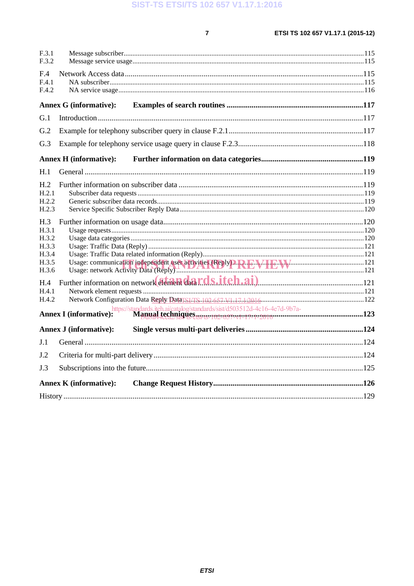#### SIST-TS ETSI/TS 102 657 V1.17.1:2016

| F.3.1<br>F.3.2                                            |                                                                                    |  |
|-----------------------------------------------------------|------------------------------------------------------------------------------------|--|
| F.4<br>F.4.1<br>F.4.2                                     |                                                                                    |  |
|                                                           | <b>Annex G (informative):</b>                                                      |  |
| G.1                                                       |                                                                                    |  |
| G.2                                                       |                                                                                    |  |
| G.3                                                       |                                                                                    |  |
|                                                           | <b>Annex H</b> (informative):                                                      |  |
| H.1                                                       |                                                                                    |  |
| H <sub>.2</sub><br>H.2.1<br>H.2.2<br>H.2.3                |                                                                                    |  |
| H.3<br>H.3.1<br>H.3.2<br>H.3.3<br>H.3.4<br>H.3.5<br>H.3.6 |                                                                                    |  |
| H.4<br>H.4.1<br>H.4.2                                     | Further information on network element data rds.itch.ai)<br>Annex I (informative): |  |
|                                                           |                                                                                    |  |
| J.1                                                       |                                                                                    |  |
| J.2                                                       |                                                                                    |  |
| J.3                                                       |                                                                                    |  |
|                                                           | <b>Annex K (informative):</b>                                                      |  |
|                                                           |                                                                                    |  |

**ETSI**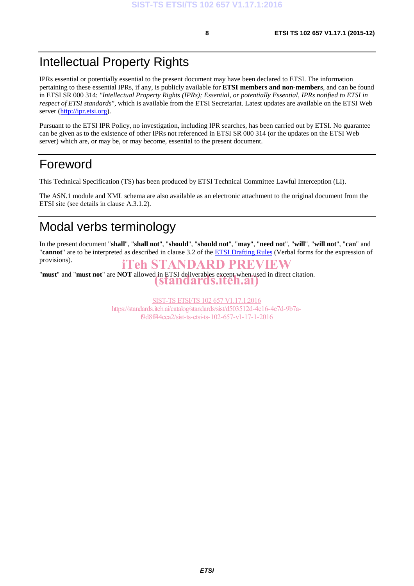### Intellectual Property Rights

IPRs essential or potentially essential to the present document may have been declared to ETSI. The information pertaining to these essential IPRs, if any, is publicly available for **ETSI members and non-members**, and can be found in ETSI SR 000 314: *"Intellectual Property Rights (IPRs); Essential, or potentially Essential, IPRs notified to ETSI in respect of ETSI standards"*, which is available from the ETSI Secretariat. Latest updates are available on the ETSI Web server (http://ipr.etsi.org).

Pursuant to the ETSI IPR Policy, no investigation, including IPR searches, has been carried out by ETSI. No guarantee can be given as to the existence of other IPRs not referenced in ETSI SR 000 314 (or the updates on the ETSI Web server) which are, or may be, or may become, essential to the present document.

### Foreword

This Technical Specification (TS) has been produced by ETSI Technical Committee Lawful Interception (LI).

The ASN.1 module and XML schema are also available as an electronic attachment to the original document from the ETSI site (see details in clause A.3.1.2).

### Modal verbs terminology

In the present document "**shall**", "**shall not**", "**should**", "**should not**", "**may**", "**need not**", "**will**", "**will not**", "**can**" and "**cannot**" are to be interpreted as described in clause 3.2 of the ETSI Drafting Rules (Verbal forms for the expression of provisions).

"**must**" and "**must not**" are **NOT** allowed in ETSI deliverables except when used in direct citation. iTeh STANDARD PREVIEW (standards.iteh.ai)

> SIST-TS ETSI/TS 102 657 V1.17.1:2016 https://standards.iteh.ai/catalog/standards/sist/d503512d-4c16-4e7d-9b7af9d8ff44cea2/sist-ts-etsi-ts-102-657-v1-17-1-2016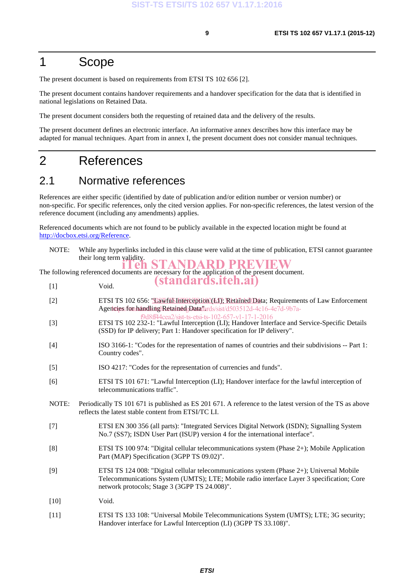### 1 Scope

The present document is based on requirements from ETSI TS 102 656 [2].

The present document contains handover requirements and a handover specification for the data that is identified in national legislations on Retained Data.

The present document considers both the requesting of retained data and the delivery of the results.

The present document defines an electronic interface. An informative annex describes how this interface may be adapted for manual techniques. Apart from in annex I, the present document does not consider manual techniques.

### 2 References

#### 2.1 Normative references

References are either specific (identified by date of publication and/or edition number or version number) or non-specific. For specific references, only the cited version applies. For non-specific references, the latest version of the reference document (including any amendments) applies.

Referenced documents which are not found to be publicly available in the expected location might be found at http://docbox.etsi.org/Reference.

|        | http://docbox.etsi.org/Reference.                                                                                                                                                                                                       |
|--------|-----------------------------------------------------------------------------------------------------------------------------------------------------------------------------------------------------------------------------------------|
| NOTE:  | While any hyperlinks included in this clause were valid at the time of publication, ETSI cannot guarantee<br>their long term validity.                                                                                                  |
|        | The following referenced documents are necessary for the application of the present document.                                                                                                                                           |
| $[1]$  | <i>(standards.iteh.ai)</i><br>Void.                                                                                                                                                                                                     |
| $[2]$  | ETSI TS 102 656: 'Llawfub Interception'(L1)'; Retained Data; Requirements of Law Enforcement<br>Agencies: for handling Retained Datalards/sist/d503512d-4c16-4e7d-9b7a-                                                                 |
| $[3]$  | Dd8ff44cea2/sist-ts-etsi-ts-102-657-v1-17-1-2016<br>ETSI TS 102 232-1: "Lawful Interception (LI); Handover Interface and Service-Specific Details<br>(SSD) for IP delivery; Part 1: Handover specification for IP delivery".            |
| $[4]$  | ISO 3166-1: "Codes for the representation of names of countries and their subdivisions -- Part 1:<br>Country codes".                                                                                                                    |
| $[5]$  | ISO 4217: "Codes for the representation of currencies and funds".                                                                                                                                                                       |
| [6]    | ETSI TS 101 671: "Lawful Interception (LI); Handover interface for the lawful interception of<br>telecommunications traffic".                                                                                                           |
| NOTE:  | Periodically TS 101 671 is published as ES 201 671. A reference to the latest version of the TS as above<br>reflects the latest stable content from ETSI/TC LI.                                                                         |
| $[7]$  | ETSI EN 300 356 (all parts): "Integrated Services Digital Network (ISDN); Signalling System<br>No.7 (SS7); ISDN User Part (ISUP) version 4 for the international interface".                                                            |
| [8]    | ETSI TS 100 974: "Digital cellular telecommunications system (Phase $2+$ ); Mobile Application<br>Part (MAP) Specification (3GPP TS 09.02)".                                                                                            |
| $[9]$  | ETSI TS 124 008: "Digital cellular telecommunications system (Phase 2+); Universal Mobile<br>Telecommunications System (UMTS); LTE; Mobile radio interface Layer 3 specification; Core<br>network protocols; Stage 3 (3GPP TS 24.008)". |
| $[10]$ | Void.                                                                                                                                                                                                                                   |
| $[11]$ | ETSI TS 133 108: "Universal Mobile Telecommunications System (UMTS); LTE; 3G security;<br>Handover interface for Lawful Interception (LI) (3GPP TS 33.108)".                                                                            |
|        |                                                                                                                                                                                                                                         |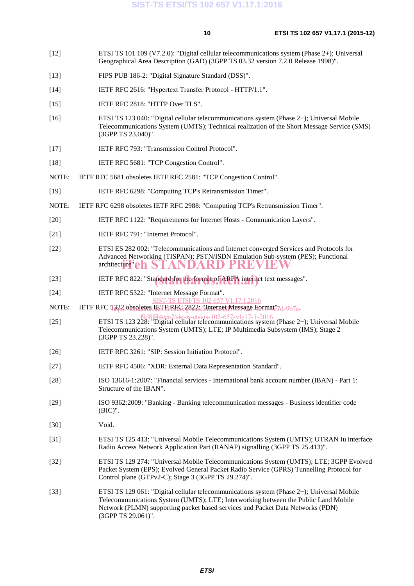- [12] ETSI TS 101 109 (V7.2.0): "Digital cellular telecommunications system (Phase 2+); Universal Geographical Area Description (GAD) (3GPP TS 03.32 version 7.2.0 Release 1998)".
- [13] FIPS PUB 186-2: "Digital Signature Standard (DSS)".
- [14] IETF RFC 2616: "Hypertext Transfer Protocol HTTP/1.1".
- [15] IETF RFC 2818: "HTTP Over TLS".
- [16] ETSI TS 123 040: "Digital cellular telecommunications system (Phase 2+); Universal Mobile Telecommunications System (UMTS); Technical realization of the Short Message Service (SMS) (3GPP TS 23.040)".
- [17] IETF RFC 793: "Transmission Control Protocol".
- [18] IETF RFC 5681: "TCP Congestion Control".
- NOTE: IETF RFC 5681 obsoletes IETF RFC 2581: "TCP Congestion Control".
- [19] IETF RFC 6298: "Computing TCP's Retransmission Timer".
- NOTE: IETF RFC 6298 obsoletes IETF RFC 2988: "Computing TCP's Retransmission Timer".
- [20] IETF RFC 1122: "Requirements for Internet Hosts Communication Layers".
- [21] **IETF RFC 791: "Internet Protocol".**
- [22] ETSI ES 282 002: "Telecommunications and Internet converged Services and Protocols for Advanced Networking (TISPAN); PSTN/ISDN Emulation Sub-system (PES); Functional architecture"eh STANDARD PREVIEW
- [23] IETF RFC 822: "Standard for the format of ARPA internet text messages".
- 
- [24] IETF RFC 5322: "Internet Message Format".<br>SIST-TS ETSI/TS 102 657 V1.17.1:2016 T-TS ETSI/TS 102 657
- NOTE: IETF RFC 5322.obsoletes.IETF1RFGO28221d'Internet Message Format"7d-9b7a-
- ETSI TS 123 228: "Digital cellular telecommunications system (Phase 2+); Universal Mobile [25] Telecommunications System (UMTS); LTE; IP Multimedia Subsystem (IMS); Stage 2 (3GPP TS 23.228)".
- [26] IETF RFC 3261: "SIP: Session Initiation Protocol".
- [27] IETF RFC 4506: "XDR: External Data Representation Standard".
- [28] ISO 13616-1:2007: "Financial services International bank account number (IBAN) Part 1: Structure of the IBAN".
- [29] ISO 9362:2009: "Banking Banking telecommunication messages Business identifier code (BIC)".
- [30] Void.
- [31] ETSI TS 125 413: "Universal Mobile Telecommunications System (UMTS); UTRAN Iu interface Radio Access Network Application Part (RANAP) signalling (3GPP TS 25.413)".
- [32] ETSI TS 129 274: "Universal Mobile Telecommunications System (UMTS); LTE; 3GPP Evolved Packet System (EPS); Evolved General Packet Radio Service (GPRS) Tunnelling Protocol for Control plane (GTPv2-C); Stage 3 (3GPP TS 29.274)".
- [33] ETSI TS 129 061: "Digital cellular telecommunications system (Phase 2+); Universal Mobile Telecommunications System (UMTS); LTE; Interworking between the Public Land Mobile Network (PLMN) supporting packet based services and Packet Data Networks (PDN) (3GPP TS 29.061)".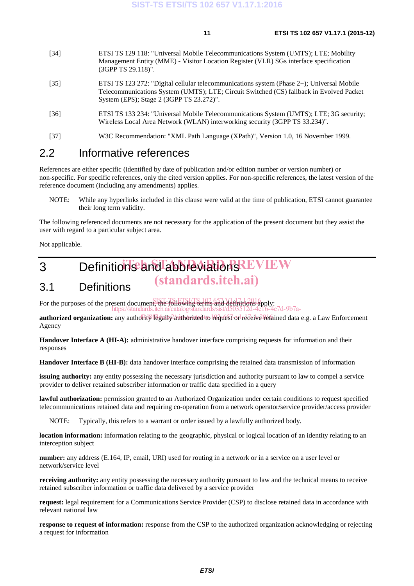- [34] ETSI TS 129 118: "Universal Mobile Telecommunications System (UMTS); LTE; Mobility Management Entity (MME) - Visitor Location Register (VLR) SGs interface specification (3GPP TS 29.118)".
- [35] ETSI TS 123 272: "Digital cellular telecommunications system (Phase 2+); Universal Mobile Telecommunications System (UMTS); LTE; Circuit Switched (CS) fallback in Evolved Packet System (EPS); Stage 2 (3GPP TS 23.272)".
- [36] ETSI TS 133 234: "Universal Mobile Telecommunications System (UMTS); LTE; 3G security; Wireless Local Area Network (WLAN) interworking security (3GPP TS 33.234)".
- [37] W3C Recommendation: "XML Path Language (XPath)", Version 1.0, 16 November 1999.

#### 2.2 Informative references

References are either specific (identified by date of publication and/or edition number or version number) or non-specific. For specific references, only the cited version applies. For non-specific references, the latest version of the reference document (including any amendments) applies.

NOTE: While any hyperlinks included in this clause were valid at the time of publication, ETSI cannot guarantee their long term validity.

The following referenced documents are not necessary for the application of the present document but they assist the user with regard to a particular subject area.

Not applicable.

### 3 Definitions and abbreviations REVIEW (standards.iteh.ai)

### 3.1 Definitions

For the purposes of the present document, the following terms and definitions apply: https://standards.iteh.ai/catalog/standards/sist/d503512d-4c16-4e7d-9b7a-

authorized organization: any authority legally authorized to request or receive retained data e.g. a Law Enforcement Agency

**Handover Interface A (HI-A):** administrative handover interface comprising requests for information and their responses

**Handover Interface B (HI-B):** data handover interface comprising the retained data transmission of information

**issuing authority:** any entity possessing the necessary jurisdiction and authority pursuant to law to compel a service provider to deliver retained subscriber information or traffic data specified in a query

**lawful authorization:** permission granted to an Authorized Organization under certain conditions to request specified telecommunications retained data and requiring co-operation from a network operator/service provider/access provider

NOTE: Typically, this refers to a warrant or order issued by a lawfully authorized body.

**location information:** information relating to the geographic, physical or logical location of an identity relating to an interception subject

**number:** any address (E.164, IP, email, URI) used for routing in a network or in a service on a user level or network/service level

**receiving authority:** any entity possessing the necessary authority pursuant to law and the technical means to receive retained subscriber information or traffic data delivered by a service provider

**request:** legal requirement for a Communications Service Provider (CSP) to disclose retained data in accordance with relevant national law

**response to request of information:** response from the CSP to the authorized organization acknowledging or rejecting a request for information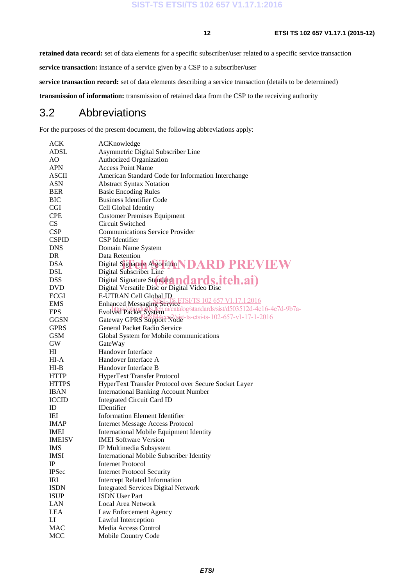**retained data record:** set of data elements for a specific subscriber/user related to a specific service transaction

**service transaction:** instance of a service given by a CSP to a subscriber/user

**service transaction record:** set of data elements describing a service transaction (details to be determined)

**transmission of information:** transmission of retained data from the CSP to the receiving authority

#### 3.2 Abbreviations

For the purposes of the present document, the following abbreviations apply:

| <b>ACK</b>    | ACKnowledge                                                                 |
|---------------|-----------------------------------------------------------------------------|
| ADSL          | Asymmetric Digital Subscriber Line                                          |
| AO            | <b>Authorized Organization</b>                                              |
| <b>APN</b>    | <b>Access Point Name</b>                                                    |
| ASCII         | American Standard Code for Information Interchange                          |
| <b>ASN</b>    | <b>Abstract Syntax Notation</b>                                             |
| <b>BER</b>    | <b>Basic Encoding Rules</b>                                                 |
| <b>BIC</b>    | <b>Business Identifier Code</b>                                             |
| <b>CGI</b>    | Cell Global Identity                                                        |
| <b>CPE</b>    | <b>Customer Premises Equipment</b>                                          |
| <b>CS</b>     | Circuit Switched                                                            |
| <b>CSP</b>    | <b>Communications Service Provider</b>                                      |
| <b>CSPID</b>  | CSP Identifier                                                              |
| <b>DNS</b>    | Domain Name System                                                          |
| <b>DR</b>     | Data Retention                                                              |
| <b>DSA</b>    | Digital Signature Algorithm NDARD PREVIEW                                   |
| DSL           | Digital Subscriber Line                                                     |
| <b>DSS</b>    | Digital Signature Standard ards.itch.ai)                                    |
| <b>DVD</b>    | Digital Versatile Disc or Digital Video Disc                                |
| <b>ECGI</b>   | E-UTRAN Cell Global ID                                                      |
| <b>EMS</b>    | Enhanced Messaging Service<br>https://ctandox.log.pervice                   |
| <b>EPS</b>    | Evolution Astandards Teh ai/catalog/standards/sist/d503512d-4c16-4e7d-9b7a- |
| <b>GGSN</b>   | Gateway GPRS Support Node-ts-etsi-ts-102-657-v1-17-1-2016                   |
| <b>GPRS</b>   | General Packet Radio Service                                                |
| <b>GSM</b>    | Global System for Mobile communications                                     |
| <b>GW</b>     | GateWay                                                                     |
| HІ            | Handover Interface                                                          |
| HI-A          | Handover Interface A                                                        |
| $HI-B$        | Handover Interface B                                                        |
| <b>HTTP</b>   | HyperText Transfer Protocol                                                 |
| <b>HTTPS</b>  | HyperText Transfer Protocol over Secure Socket Layer                        |
| <b>IBAN</b>   | <b>International Banking Account Number</b>                                 |
| <b>ICCID</b>  | Integrated Circuit Card ID                                                  |
| ID            | <b>IDentifier</b>                                                           |
| IEI           | <b>Information Element Identifier</b>                                       |
| <b>IMAP</b>   | <b>Internet Message Access Protocol</b>                                     |
| <b>IMEI</b>   | <b>International Mobile Equipment Identity</b>                              |
| <b>IMEISV</b> | <b>IMEI</b> Software Version                                                |
| IMS           | IP Multimedia Subsystem                                                     |
| <b>IMSI</b>   | <b>International Mobile Subscriber Identity</b>                             |
| IP            | <b>Internet Protocol</b>                                                    |
| <b>IPSec</b>  | <b>Internet Protocol Security</b>                                           |
| <b>IRI</b>    | <b>Intercept Related Information</b>                                        |
| <b>ISDN</b>   | <b>Integrated Services Digital Network</b>                                  |
| <b>ISUP</b>   | <b>ISDN</b> User Part                                                       |
| LAN           | Local Area Network                                                          |
| LEA           | Law Enforcement Agency                                                      |
| LI            | Lawful Interception                                                         |
| <b>MAC</b>    | Media Access Control                                                        |
| <b>MCC</b>    | Mobile Country Code                                                         |
|               |                                                                             |